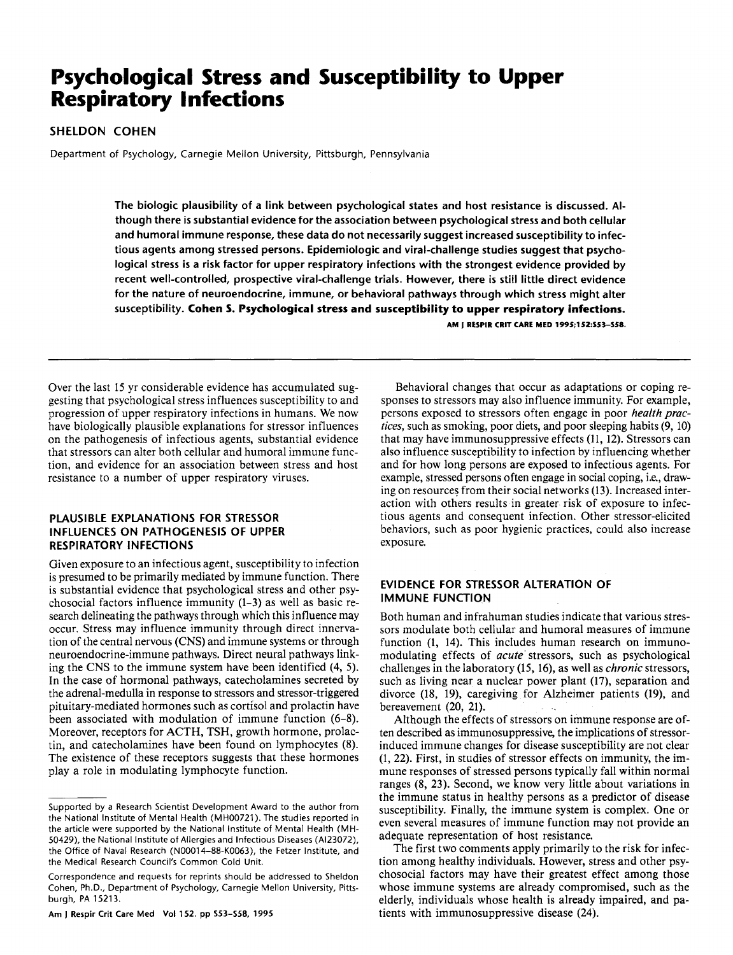# **Psychological Stress and Susceptibility to Upper Respiratory Infections**

# **SHELDON COHEN**

Department of Psychology, Carnegie Mellon University, Pittsburgh, Pennsylvania

**The biologic** plausibility **of a link between** psychological **states and host resistance is discussed. Al**though **there is substantial evidence for** the association **between** psychological **stress and both cellular and humoral immune response, these data do not necessarily suggest increased** susceptibility **to** infec**tious agents among stressed persons. Epidemiologic and viral** -challenge studies suggest that psycho**logical stress is a risk** factor for upper respiratory infections with the strongest evidence provided **by** recent welt-controlled, prospective viral-**challenge trials. However, there is stil) little direct evidence** for the nature of neuroendocrine, immune, or behavioral pathways through which stress might alter susceptibility. **Cohen S. Psychological stress and susceptibility to upper respiratory infections. AM J RESPIR CRIT CARE MED 199S;152:553—S58.**

Over the last 15 yr considerable evidence has accumulated suggesting that psychological stress influences susceptibility to and progression of upper respiratory infections in humans. We now have biologically plausible explanations for stressor influences on the pathogenesis of infectious agents, substantial evidence that stressors can alter both cellular and humoral immune function, and evidence for an association between stress and host resistance to a number of upper respiratory viruses.

## **PLAUSIBLE EXPLANATIONS FOR STRESSOR INFLUENCES ON PATHOGENESIS OF UPPER RESPIRATORY INFECTIONS**

Given exposure to an infectious agent, susceptibility to infection is presumed to be primarily mediated by immune function. There is substantial evidence that psychological stress and other psychosocial factors influence immunity (1-3) as well as basic research delineating the pathways through which this influence may occur. Stress may influence immunity through direct innervation of the central nervous (CNS) and immune systems or through neuroendocrine-immune pathways. Direct neural pathways linking the CNS to the immune system have been identified (4, 5). In the case of hormonal pathways, catecholamines secreted by the adrenal-medulla in response to stressors and stressor-triggered pituitary-mediated hormones such as cortisol and prolactin have been associated with modulation of immune function (6-8). Moreover, receptors for ACTH, TSH, growth hormone, prolactin, and catecholamines have been found on lymphocytes (8). The existence of these receptors suggests that these hormones play a role in modulating lymphocyte function.

**Am J Respir Crit Care Med Vol 152. pp S53-S58, 1995**

Behavioral changes that occur as adaptations or coping responses to stressors may also influence immunity. For example, persons exposed to stressors often engage in poor *health practices,* such as smoking, poor diets, and poor sleeping habits (9, 10) that may have immunosuppressive effects (11, 12). Stressors can also influence susceptibility to infection by influencing whether and for how long persons are exposed to infectious agents. For example, stressed persons often engage in social coping, i.e., drawing on resources from their social networks (13). Increased interaction with others results in greater risk of exposure to infectious agents and consequent infection. Other stressor-elicited behaviors, such as poor hygienic practices, could also increase exposure.

## **EVIDENCE FOR STRESSOR ALTERATION OF IMMUNE FUNCTION**

Both human and infrahuman studies indicate that various stressors modulate both cellular and humoral measures of immune function (1, 14). This includes human research on immunomodulating effects of *acute* stressors, such as psychological challenges in the laboratory (15, 16), as well as *chronic* stressors, such as living near a nuclear power plant (17), separation and divorce (18, 19), caregiving for Alzheimer patients (19), and bereavement (20, 21).

Although the effects of stressors on immune response are often described as immunosuppressive, the implications of stressorinduced immune changes for disease susceptibility are not clear (1, 22). First, in studies of stressor effects on immunity, the immune responses of stressed persons typically fall within normal ranges (8, 23). Second, we know very little about variations in the immune status in healthy persons as a predictor of disease susceptibility. Finally, the immune system is complex. One or even several measures of immune function may not provide an adequate representation of host resistance.

The first two comments apply primarily to the risk for infection among healthy individuals. However, stress and other psychosocial factors may have their greatest effect among those whose immune systems are already compromised, such as the elderly, individuals whose health is already impaired, and patients with immunosuppressive disease (24).

Supported by a Research Scientist Development Award to the author from the National Institute of Mental Health (MH00721). The studies reported in the article were supported by the National Institute of Mental Health (MH-50429), the National Institute of Allergies and Infectious Diseases (AI23072), the Office of Naval Research (N00014-88-K0063), the Fetzer Institute, and the Medical Research Council's Common Cold Unit.

Correspondence and requests for reprints should be addressed to Sheldon Cohen, Ph.D., Department of Psychology, Carnegie Mellon University, Pittsburgh, PA 15213.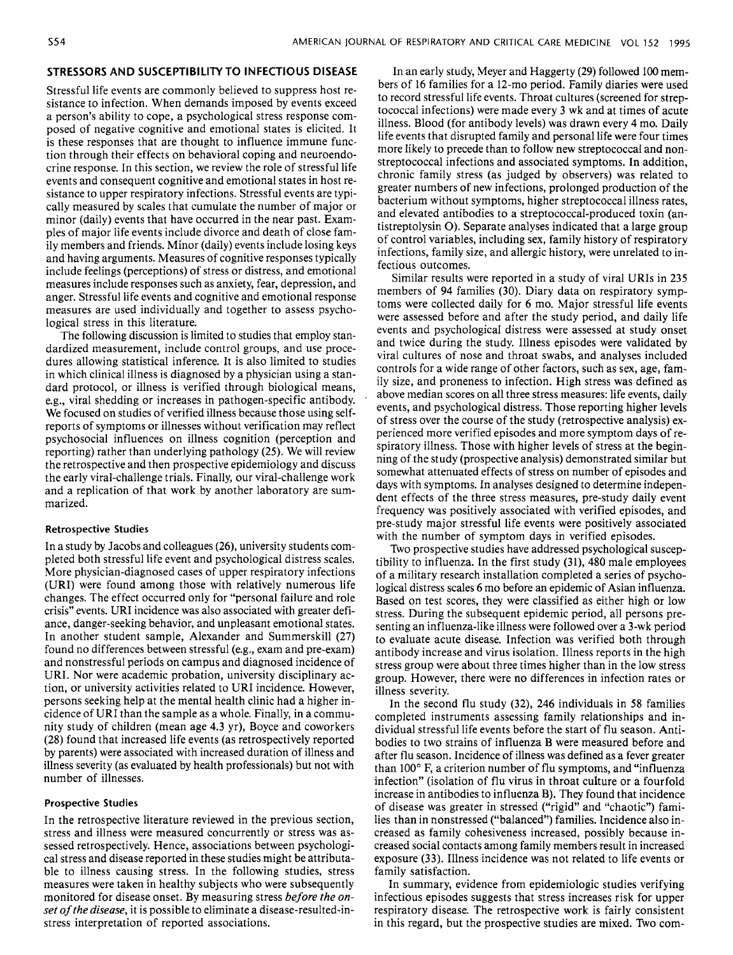## **STRESSORS AND SUSCEPTIBILITY TO INFECTIOUS DISEASE**

Stressful life events are commonly believed to suppress host resistance to infection. When demands imposed by events exceed a person's ability to cope, a psychological stress response composed of negative cognitive and emotional states is elicited. It is these responses that are thought to influence immune function through their effects on behavioral coping and neuroendocrine response. In this section, we review the role of stressful life events and consequent cognitive and emotional states in host resistance to upper respiratory infections. Stressful events are typically measured by scales that cumulate the number of major or minor (daily) events that have occurred in the near past. Examples of major life events include divorce and death of close family members and friends. Minor (daily) events include losing keys and having arguments. Measures of cognitive responses typically include feelings (perceptions) of stress or distress, and emotional measures include responses such as anxiety, fear, depression, and anger. Stressful life events and cognitive and emotional response measures are used individually and together to assess psychological stress in this literature.

The following discussion is limited to studies that employ standardized measurement, include control groups, and use procedures allowing statistical inference. It is also limited to studies in which clinical illness is diagnosed by a physician using a standard protocol, or illness is verified through biological means, e.g., viral shedding or increases in pathogen-specific antibody. We focused on studies of verified illness because those using selfreports of symptoms or illnesses without verification may reflect psychosocial influences on illness cognition (perception and reporting) rather than underlying pathology (25). We wilt review the retrospective and then prospective epidemiology and discuss the early viral-challenge trials. Finally, our viral-challenge work and a replication of that work by another laboratory are summarized.

### Retrospective Studies

In a study by Jacobs and colleagues (26), university students completed both stressful life event and psychological distress scales. More physician-diagnosed cases of upper respiratory infections (URI) were found among those with relatively numerous life changes. The effect occurred only for "personal failure and role crisis" events. URI incidence was also associated with greater defiance, danger-seeking behavior, and unpleasant emotional states. In another student sample, Alexander and Summerskill (27) found no differences between stressful (e.g., exam and pre-exam) and nonstressful periods on campus and diagnosed incidence of URI. Nor were academic probation, university disciplinary action, or university activities related to URI incidence. However, persons seeking help at the mental health clinic had a higher incidence of URI than the sample as a whole. Finally, in a community study of children (mean age 4.3 yr), Boyce and coworkers (28) found that increased life events (as retrospectively reported by parents) were associated with increased duration of illness and illness severity (as evaluated by health professionals) but not with number of illnesses.

#### Prospective Studies

In the retrospective literature reviewed in the previous section, stress and illness were measured concurrently or stress was assessed retrospectively. Hence, associations between psychological stress and disease reported in these studies might be attributable to illness causing stress. In the following studies, stress measures were taken in healthy subjects who were subsequently monitored for disease onset. By measuring stress *before the onset of the disease,* it is possible to eliminate a disease-resulted-instress interpretation of reported associations.

In an early study, Meyer and Haggerty (29) followed 100 members of 16 families for a 12-mo period. Family diaries were used to record stressful life events. Throat cultures (screened for streptococcal infections) were made every 3 wk and at times of acute illness. Blood (for antibody levels) was drawn every 4 mo. Daily life events that disrupted family and personal life were four times more likely to precede than to follow new streptococcal and nonstreptococcal infections and associated symptoms. In addition, chronic family stress (as judged by observers) was related to greater numbers of new infections, prolonged production of the bacterium without symptoms, higher streptococcal illness rates, and elevated antibodies to a streptococcal-produced toxin (antistreptolysin 0). Separate analyses indicated that a large group of control variables, including sex, family history of respiratory infections, family size, and allergic history, were unrelated to infectious outcomes.

Similar results were reported in a study of viral URIs in 235 members of 94 families (30). Diary data on respiratory symptoms were collected daily for 6 mo. Major stressful life events were assessed before and after the study period, and daily life events and psychologica) distress were assessed at study onset and twice during the study. Illness episodes were validated by viral cultures of nose and throat swabs, and analyses included controls for a wide range of other factors, such as sex, age, family size, and proneness to infection. High stress was defined as above median scores on all three stress measures: life events, daily events, and psychological distress. Those reporting higher levels of stress over the course of the study (retrospective analysis) experienced more verified episodes and more symptom days of respiratory illness. Those with higher levels of stress at the beginning of the study (prospective analysis) demonstrated similar but somewhat attenuated effects of stress on number of episodes and days with symptoms. In analyses designed to determine independent effects of the three stress measures, pre-study daily event frequency was positively associated with verified episodes, and pre-study major stressful life events were positively associated with the number of symptom days in verified episodes.

Two prospective studies have addressed psychological susceptibility to influenza. In the first study (31), 480 male employees of a military research installation completed a series of psychological distress scales 6 mo before an epidemic of Asian influenza. Based on test scores, they were classified as either high or low stress. During the subsequent epidemic period, all persons presenting an influenza-like illness were followed over a 3-wk period to evaluate acute disease. Infection was verified both through antibody increase and virus isolation. Illness reports in the high stress group were about three times higher than in the low stress group. However, there were no differences in infection rates or illness severity.

In the second flu study (32), 246 individuals in 58 families completed instruments assessing family relationships and individual stressful life events before the start of flu season. Antibodies to two strains of influenza B were measured before and after flu season. Incidence of illness was defined as a fever greater than 100° F, a criterion number of flu symptoms, and "influenza infection" (isolation of flu virus in throat culture or a fourfold increase in antibodies to influenza B). They found that incidence of disease was greater in stressed ("rigid" and "chaotic") families than in nonstressed ("balanced") families. Incidence also increased as family cohesiveness increased, possibly because increased social contacts among family members result in increased exposure (33). Illness incidence was not related to life events or family satisfaction.

In summary, evidence from epidemiologic studies verifying infectious episodes suggests that stress increases risk for upper respiratory disease. The retrospective work is fairly consistent in this regard, but the prospective studies are mixed. Two com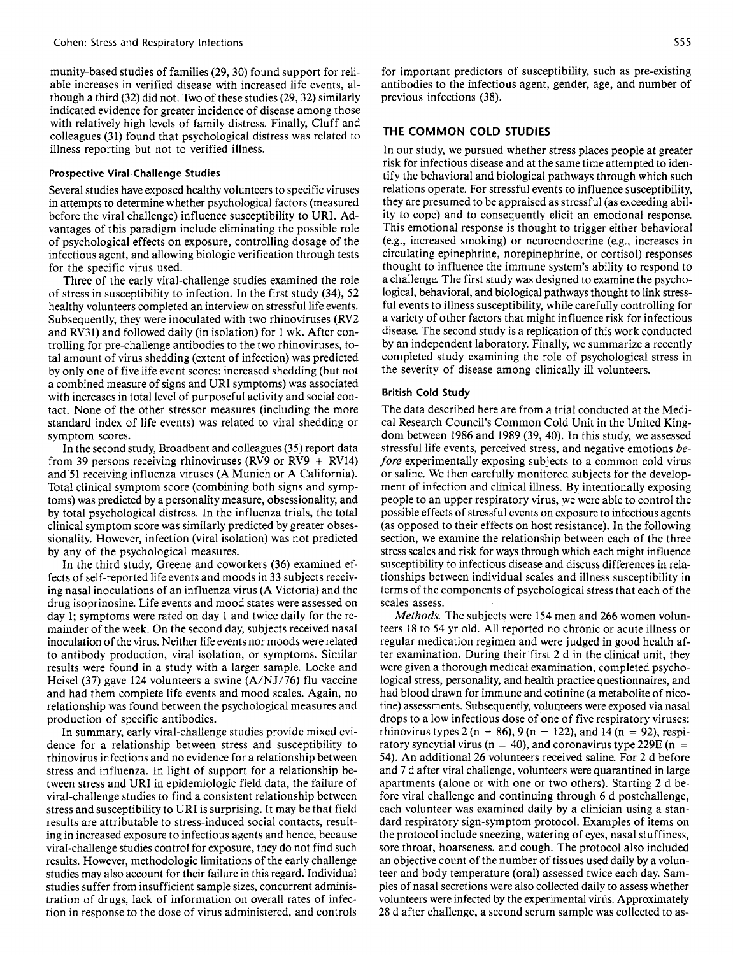munity-based studies of families (29, 30) found support for reliable increases in verified disease with increased life events, although a third (32) did not. Two of these studies (29, 32) similarly indicated evidence for greater incidence of disease among those with relatively high levels of family distress. Finally, Cluff and colleagues (31) found that psychological distress was related to illness reporting but not to verified illness.

## **Prospective Viral-Challenge Studies**

Several studies have exposed healthy volunteers to specific viruses in attempts to determine whether psychological factors (measured before the viral challenge) influence susceptibility to URI. Advantages of this paradigm include eliminating the possible role of psychological effects on exposure, controlling dosage of the infectious agent, and allowing biologic verification through tests for the specific virus used.

Three of the early viral-challenge studies examined the role of stress in susceptibility to infection. In the first study (34), 52 healthy volunteers completed an interview on stressful life events. Subsequently, they were inoculated with two rhinoviruses (RV2 and RV31) and followed daily (in isolation) for 1 wk. After controlling for pre-challenge antibodies to the two rhinoviruses, total amount of virus shedding (extent of infection) was predicted by only one of five life event scores: increased shedding (but not a combined measure of signs and URI symptoms) was associated with increases in total level of purposeful activity and social contact. None of the other stressor measures (including the more standard index of life events) was related to viral shedding or symptom scores.

In the second study, Broadbent and colleagues (35) report data from 39 persons receiving rhinoviruses (RV9 or RV9  $+$  RV14) and 51 receiving influenza viruses (A Munich or A California). Total clinical symptom score (combining both signs and symptoms) was predicted by a personality measure, obsessionality, and by total psychological distress. In the influenza trials, the total clinical symptom score was similarly predicted by greater obsessionality. However, infection (viral isolation) was not predicted by any of the psychological measures.

In the third study, Greene and coworkers (36) examined effects of self-reported life events and moods in 33 subjects receiving nasal inoculations of an influenza virus (A Victoria) and the drug isoprinosine. Life events and mood states were assessed on day l; symptoms were rated on day 1 and twice daily for the remainder of the week. On the second day, subjects received nasal inoculation of the virus. Neither life events nor moods were related to antibody production, viral isolation, or symptoms. Similar results were found in a study with a larger sample. Locke and Heisel (37) gave 124 volunteers a swine (A/NJ/76) flu vaccine and had them complete life events and mood scales. Again, no relationship was found between the psychological measures and production of specific antibodies.

In summary, early viral-challenge studies provide mixed evidence for a relationship between stress and susceptibility to rhinovirus infections and no evidence for a relationship between stress and influenza. In light of support for a relationship between stress and URI in epidemiologic field data, the failure of viral-challenge studies to find a consistent relationship between stress and susceptibility to URI is surprising. It may be that field results are attributable to stress-induced social contacts, resulting in increased exposure to infectious agents and hence, because viral-challenge studies control for exposure, they do not find such results. However, methodologic limitations of the early challenge studies may also account for their failure in this regard. Individual studies suffer from insufficient sample sizes, concurrent administration of drugs, lack of information on overall rates of infection in response to the dose of virus administered, and controls

for important predictors of susceptibility, such as pre-existing antibodies to the infectious agent, gender, age, and number of previous infections (38).

# **THE COMMON COLD STUDIES**

In our study, we pursued whether stress places people at greater risk for infectious disease and at the same time attempted to identify the behavioral and biological pathways through which such relations operate. For stressful events to influence susceptibility, they are presumed to be appraised as stressful (as exceeding ability to cope) and to consequently elicit an emotional response. This emotional response is thought to trigger either behavioral (e.g., increased smoking) or neuroendocrine (e.g., increases in circulating epinephrine, norepinephrine, or cortisol) responses thought to influence the immune system's ability to respond to a challenge. The first study was designed to examine the psychological, behavioral, and biological pathways thought to link stressful events to illness susceptibility, while carefully controlling for a variety of other factors that might influence risk for infectious disease. The second study is a replication of this work conducted by an independent laboratory. Finally, we summarize a recently completed study examining the role of psychological stress in the severity of disease among clinically ill volunteers.

### **British Cold Study**

The data described here are from a trial conducted at the Medical Research Council's Common Cold Unit in the United Kingdom between 1986 and 1989 (39, 40). In this study, we assessed stressful life events, perceived stress, and negative emotions *before* experimentally exposing subjects to a common cold virus or saline. We then carefully monitored subjects for the development of infection and clinical illness. By intentionally exposing people to an upper respiratory virus, we were able to control the possible effects of stressful events on exposure to infectious agents (as opposed to their effects on host resistance). In the following section, we examine the relationship between each of the three stress scales and risk for ways through which each might influence susceptibility to infectious disease and discuss differences in relationships between individual scales and illness susceptibility in terms of the components of psychological stress that each of the scales assess.

*Methods.* The subjects were 154 men and 266 women volunteers 18 to 54 yr old. All reported no chronic or acute illness or regular medication regimen and were judged in good health after examination. During their first 2 d in the clinical unit, they were given a thorough medical examination, completed psychological stress, personality, and health practice questionnaires, and had blood drawn for immune and cotinine (a metabolite of nicotine) assessments. Subsequently, volunteers were exposed via nasal drops to a low infectious dose of one of five respiratory viruses: rhinovirus types 2 (n = 86), 9 (n = 122), and 14 (n = 92), respiratory syncytial virus ( $n = 40$ ), and coronavirus type 229E ( $n =$ 54). An additional 26 volunteers received saline. For 2 d before and 7 d after viral challenge, volunteers were quarantined in large apartments (alone or with one or two others). Starting 2 d before viral challenge and continuing through 6 d postchallenge, each volunteer was examined daily by a clinician using a standard respiratory sign-symptom protocol. Examples of items on the protocol include sneezing, watering of eyes, nasal stuffiness, sore throat, hoarseness, and cough. The protocol also included an objective count of the number of tissues used daily by a volunteer and body temperature (oral) assessed twice each day. Samples of nasal secretions were also collected daily to assess whether volunteers were infected by the experimental virus. Approximately 28 d after challenge, a second serum sample was collected to as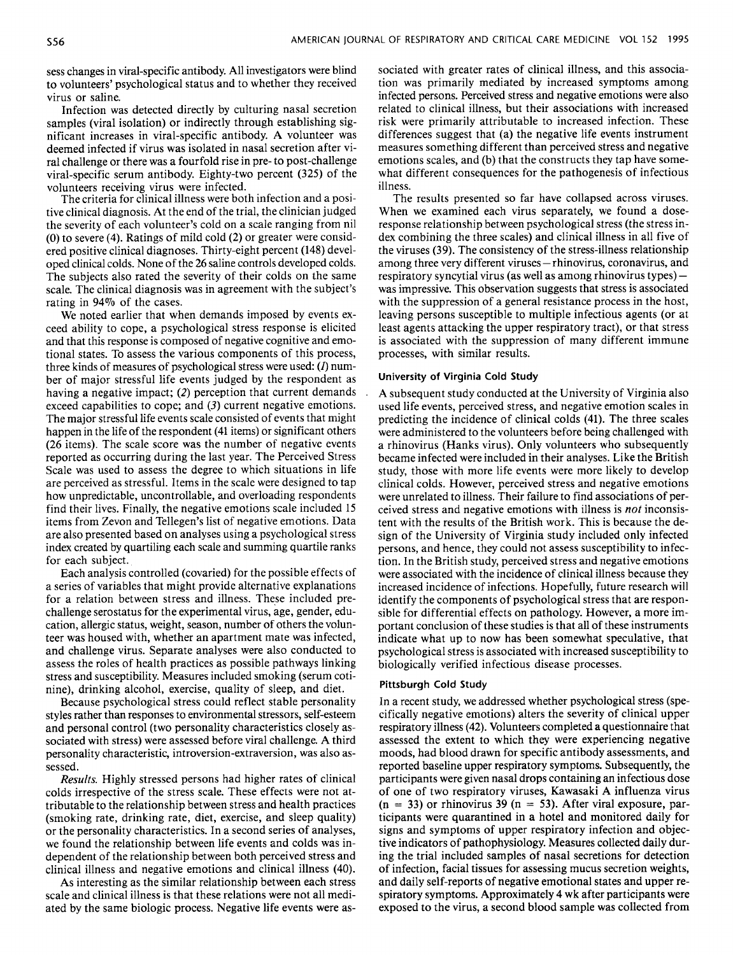sess changes in viral-specific antibody. All investigators were blind to volunteers' psychological status and to whether they received virus or saline.

Infection was detected directly by culturing nasal secretion samples (viral isolation) or indirectly through establishing significant increases in viral-specific antibody. A volunteer was deemed infected if virus was isolated in nasal secretion after viral challenge or there was a fourfold rise in pre- to post-challenge viral-specific serum antibody. Eighty-two percent (325) of the volunteers receiving virus were infected.

The criteria for clinical illness were both infection and a positive clinical diagnosis. At the end of the trial, the clinician judged the severity of each volunteer's cold on a scale ranging from nil (0) to severe (4). Ratings of mild cold (2) or greater were considered positive clinical diagnoses. Thirty-eight percent (148) developed clinical colds. None of the 26 saline controls developed colds. The subjects also rated the severity of their colds on the same scale. The clinical diagnosis was in agreement with the subject's rating in 94% of the cases.

We noted earlier that when demands imposed by events exceed ability to cope, a psychological stress response is elicited and that this response is composed of negative cognitive and emotional states. To assess the various components of this process, three kinds of measures of psychological stress were used:  $(I)$  number of major stressful life events judged by the respondent as having a negative impact; (2) perception that current demands exceed capabilities to cope; and (3) current negative emotions. The major stressful life events scale consisted of events that might happen in the life of the respondent (41 items) or significant others (26 items). The scale score was the number of negative events reported as occurring during the last year. The Perceived Stress Scale was used to assess the degree to which situations in life are perceived as stressful. Items in the scale were designed to tap how unpredictable, uncontrollable, and overloading respondents find their lives. Finally, the negative emotions scale included 15 items from Zevon and Tellegen's list of negative emotions. Data are also presented based on analyses using a psychological stress index created by quartiling each scale and summing quartile ranks for each subject.

Each analysis controlled (covaried) for the possible effects of a series of variables that might provide alternative explanations for a relation between stress and illness. These included prechallenge serostatus for the experimental virus, age, gender, education, allergic status, weight, season, number of others the volunteer was housed with, whether an apartment mate was infected, and challenge virus. Separate analyses were also conducted to assess the roles of health practices as possible pathways linking stress and susceptibility. Measures included smoking (serum cotinine), drinking alcohol, exercise, quality of sleep, and diet.

Because psychological stress could reflect stable personality styles rather than responses to environmental stressors, self-esteem and personal control (two personality characteristics closely associated with stress) were assessed before viral challenge. A third personality characteristic, introversion-extraversion, was also assessed.

*Results.* Highly stressed persons had higher rates of clinical colds irrespective of the stress scale. These effects were not attributable to the relationship between stress and health practices (smoking rate, drinking rate, diet, exercise, and sleep quality) or the personality characteristics. In a second series of analyses, we found the relationship between life events and colds was independent of the relationship between both perceived stress and clinical illness and negative emotions and clinical illness (40).

As interesting as the similar relationship between each stress scale and clinical illness is that these relations were not all mediated by the same biologic process. Negative life events were associated with greater rates of clinical illness, and this association was primarily mediated by increased symptoms among infected persons. Perceived stress and negative emotions were also related to clinical illness, but their associations with increased risk were primarily attributable to increased infection. These differences suggest that (a) the negative life events instrument measures something different than perceived stress and negative emotions scales, and (b) that the constructs they tap have somewhat different consequences for the pathogenesis of infectious illness.

The results presented so far have collapsed across viruses. When we examined each virus separately, we found a doseresponse relationship between psychological stress (the stress index combining the three scales) and clinical illness in all five of the viruses (39). The consistency of the stress-illness relationship among three very different viruses — rhinovirus, coronavirus, and respiratory syncytial virus (as well as among rhinovirus types) was impressive. This observation suggests that stress is associated with the suppression of a general resistance process in the host, leaving persons susceptible to multiple infectious agents (or at least agents attacking the upper respiratory tract), or that stress is associated with the suppression of many different immune processes, with similar results.

## **University of Virginia Cold Study**

A subsequent study conducted at the University of Virginia also used life events, perceived stress, and negative emotion scales in predicting the incidence of clinical colds (41). The three scales were administered to the volunteers before being challenged with a rhinovirus (Hanks virus). Only volunteers who subsequently became infected were included in their analyses. Like the British study, those with more life events were more likely to develop clinical colds. However, perceived stress and negative emotions were unrelated to illness. Their failure to find associations of perceived stress and negative emotions with illness is *not* inconsistent with the results of the British work. This is because the design of the University of Virginia study included only infected persons, and hence, they could not assess susceptibility to infection. In the British study, perceived stress and negative emotions were associated with the incidence of clinical illness because they increased incidence of infections. Hopefully, future research will identify the components of psychological stress that are responsible for differential effects on pathology. However, a more important conclusion of these studies is that all of these instruments indicate what up to now has been somewhat speculative, that psychological stress is associated with increased susceptibility to biologically verified infectious disease processes.

#### **Pittsburgh Cold Study**

In a recent study, we addressed whether psychological stress (specifically negative emotions) alters the severity of clinical upper respiratory illness (42). Volunteers completed a questionnaire that assessed the extent to which they were experiencing negative moods, had blood drawn for specific antibody assessments, and reported baseline upper respiratory symptoms. Subsequently, the participants were given nasal drops containing an infectious dose of one of two respiratory viruses, Kawasaki A influenza virus  $(n = 33)$  or rhinovirus 39  $(n = 53)$ . After viral exposure, participants were quarantined in a hotel and monitored daily for signs and symptoms of upper respiratory infection and objective indicators of pathophysiology. Measures collected daily during the trial included samples of nasal secretions for detection of infection, facial tissues for assessing mucus secretion weights, and daily self-reports of negative emotional states and upper respiratory symptoms. Approximately 4 wk after participants were exposed to the virus, a second blood sample was collected from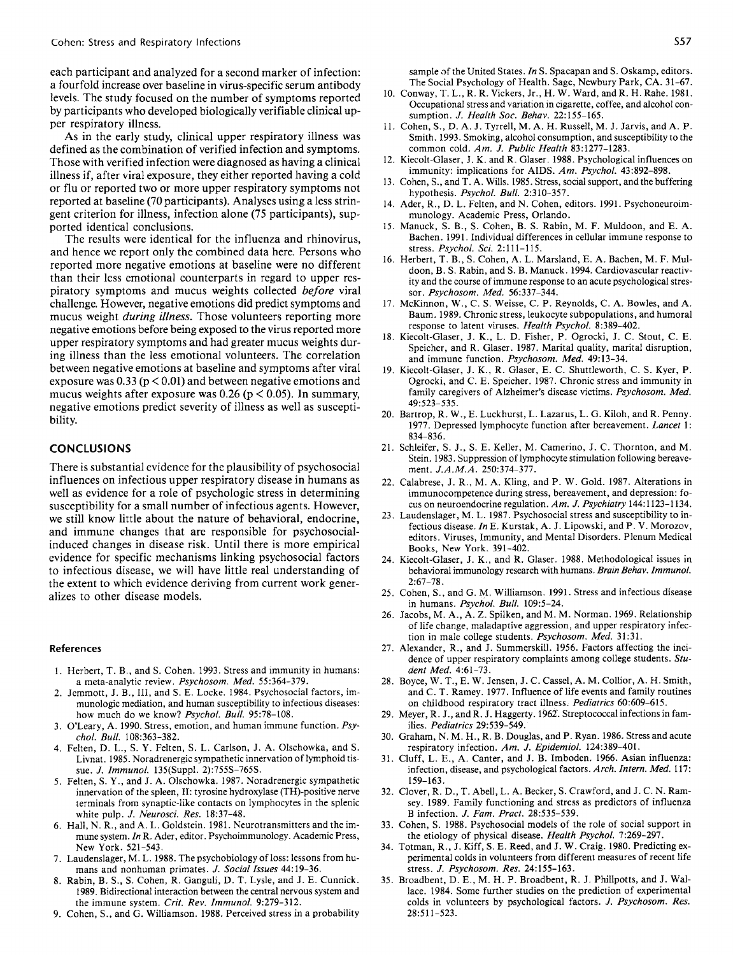each participant and analyzed for a second marker of infection: a fourfold increase over baseline in virus-specific serum antibody levels. The study focused on the number of symptoms reported by participants who developed biologically verifiable clinical upper respiratory illness.

As in the early study, clinical upper respiratory illness was defined as the combination of verified infection and symptoms. Those with verified infection were diagnosed as having a clinical illness if, after viral exposure, they either reported having a cold or flu or reported two or more upper respiratory symptoms not reported at baseline (70 participants). Analyses using a less stringent criterion for illness, infection alone (75 participants), supported identical conclusions.

The results were identical for the influenza and rhinovirus, and hence we report only the combined data here. Persons who reported more negative emotions at baseline were no different than their less emotional counterparts in regard to upper respiratory symptoms and mucus weights collected *before* viral challenge. However, negative emotions did predict symptoms and mucus weight *during illness.* Those volunteers reporting more negative emotions before being exposed to the virus reported more upper respiratory symptoms and had greater mucus weights during illness than the less emotional volunteers. The correlation between negative emotions at baseline and symptoms after viral exposure was  $0.33$  ( $p < 0.01$ ) and between negative emotions and mucus weights after exposure was 0.26 ( $p < 0.05$ ). In summary, negative emotions predict severity of illness as well as susceptibility.

# **CONCLUSIONS**

There is substantial evidence for the plausibility of psychosocial influences on infectious upper respiratory disease in humans as well as evidence for a role of psychologic stress in determining susceptibility for a small number of infectious agents. However, we still know little about the nature of behavioral, endocrine, and immune changes that are responsible for psychosocialinduced changes in disease risk. Until there is more empirical evidence for specific mechanisms linking psychosocial factors to infectious disease, we will have little real understanding of the extent to which evidence deriving from current work generalizes to other disease models.

#### **References**

- 1. Herbert, T. B., and S. Cohen. 1993. Stress and immunity in humans: a meta-analytic review. *Psychosom. Med.* 55:364-379.
- 2. Jemmott, J. B., III, and S. E. Locke. 1984. Psychosocial factors, immunologic mediation, and human susceptibility to infectious diseases: how much do we know? *Psychol. Bull.* 95:78-108.
- 3. O'Leary, A. 1990. Stress, emotion, and human immune function. *Psychol. Bull.* 108:363-382.
- 4. Feiten, D. L., S. Y. Feiten, S. L. Carlson, J. A. Olschowka, and S. Livnat. 1985. Noradrenergic sympathetic innervation of lymphoid tissue. *J. Immunol.* 135(Suppl. 2):755S-7655.
- 5. Feiten, S. Y., and J. A. Olschowka. 1987. Noradrenergic sympathetic innervation of the spleen, II: tyrosine hydroxylase (TH)-positive nerve terminals from synaptic-like contacts on lymphocytes in the splenic white pulp. *J. Neurosci. Res.* 18:37-48.
- 6. Hall, N. R., and A. L. Goldstein. 1981. Neurotransmitters and the immune system. *In R.* Ader, editor. Psychoimmunology. Academie Press, New York. 521-543.
- 7. Laudenslager, M. L. 1988. The psychobiology of loss: lessons from humans and nonhuman primates. *J. Social Issues* 44:19-36.
- 8. Rabin, B. S., S. Cohen, R. Ganguli, D. T. Lysle, and J. E. Cunnick. 1989. Bidirectional interaction between the central nervous system and the immune system. *Crit. Rev. Immunol.* 9:279-312.
- 9. Cohen, S., and G. Williamson. 1988. Perceived stress in a probability

sample of the United States. *In* S. Spacapan and S. Oskamp, editors. The Social Psychology of Health. Sage, Newbury Park, CA. 31-67.

- 10. Conway, T. L., R. R. Vickers, Jr., H. W. Ward, and R. H. Rahe. 1981. Occupational stress and variation in cigarette, coffee, and alcohol consumption. *J. Health Soc. Behav.* 22:155-165.
- 11. Cohen, S., D. A. J. Tyrrell, M. A. H. Russell, M. J. Jarvis, and A. P. Smith. 1993. Smoking, alcohol consumption, and susceptibility to the common cold. *Am. J. Public Health* 83:1277-1283.
- 12. Kiecolt-Glaser, J. K. and R. Glaser. 1988. Psychological influences on immunity: implications for AIDS. *Am. Psychol.* 43:892-898.
- 13. Cohen, S., and T. A. Wills. 1985. Stress, social support, and the buffering hypothesis. *Psychol. Bull.* 2:310-357.
- 14. Ader, R., D. L. Feiten, and N. Cohen, editors. 1991. Psychoneuroimmunology. Academie Press, Orlando.
- 15. Manuck, S. B., S. Cohen, B. S. Rabin, M. F. Muldoon, and E. A. Bachen. 1991. Individual differences in cellular immune response to stress. *Psychol. Sci.* 2:111-115.
- 16. Herbert, T. B., S. Cohen, A. L. Marsland, E. A. Bachen, M. F. Muldoon, B. S. Rabin, and S. B. Manuck. 1994. Cardiovascular reactivity and the course of immune response to an acute psychological stressor. *Psychosom. Med.* 56:337-344.
- 17. McKinnon, W., C. S. Weisse, C. P. Reynolds, C. A. Bowles, and A. Baum. 1989. Chronic stress, leukocyte subpopulations, and humoral response to latent viruses. *Health Psychol.* 8:389-402.
- 18. Kiecolt-Glaser, J. K., L. D. Fisher, P. Ogrocki, J. C. Stout, C. E. Speicher, and R. Glaser. 1987. Marital quality, marital disruption, and immune function. *Psychosom. Med.* 49:13-34.
- 19. Kiecolt-Glaser, J. K., R. Glaser, E. C. Shuttleworth, C. S. Kyer, P. Ogrocki, and C. E. Speicher. 1987. Chronic stress and immunity in family caregivers of Alzheimer's disease victims. *Psychosom. Med.* 49:523-535.
- 20. Bartrop, R. W., E. Luckhurst, L. Lazarus, L. G. Kiloh, and R. Penny. 1977. Depressed lymphocyte function after bereavement. *Lancet 1:* 834-836.
- 21. Schleifer, S. J., S. E. Keller, M. Camerino, J. C. Thornton, and M. Stein. 1983. Suppression of lymphocyte stimulation following bereavement. *J.A.M.A.* 250:374-377.
- 22. Calabrese, J. R., M. A. Kling, and P. W. Gold. 1987. Alterations in immunocompetence during stress, bereavement, and depression: focus on neuroendocrine regulation. *Am. J. Psychiatry* 144:1123-1134.
- 23. Laudenslager, M. L. 1987. Psychosocial stress and susceptibility to infectious disease. *In E.* Kurstak, A. J. Lipowski, and P. V. Morozov, editors. Viruses, Immunity, and Mental Disorders. Plenum Medical Books, New York. 391-402.
- 24. Kiecolt-Glaser, J. K., and R. Glaser. 1988. Methodological issues in behavioral immunology research with humans. *Brain Behav. Immunol.*  $2:67-78.$
- 25. Cohen, S., and G. M. Williamson. 1991. Stress and infectious disease in humans. *Psychol. Bull.* 109:5-24.
- 26. Jacobs, M. A., A. Z. Spilken, and M. M. Norman. 1969. Relationship of life change, maladaptive aggression, and upper respiratory infection in male college students. *Psychosom. Med.* 31:31.
- 27. Alexander, R., and J. Summerskill. 1956. Factors affecting the incidence of upper respiratory complaints among college students. *Student Med.* 4:61-73.
- 28. Boyce, W. T., E. W. Jensen, J. C. Cassel, A. M. Collior, A. H. Smith, and C. T. Ramey. 1977. Influence of life events and family routines on childhood respiratory tract illness. *Pediatrics 60:* 609-615.
- 29. Meyer, R. J., and R. J. Haggerty. 1962. Streptococcal infections in families. *Pediatrics* 29:539-549.
- 30. Graham, N. M. H., R. B. Douglas, and P. Ryan. 1986. Stress and acute respiratory infection. *Am. J. Epidemiol.* 124:389-401.
- 31. Cluff, L. E., A. Canter, and J. B. Imboden. 1966. Asian influenza: infection, disease, and psychological factors. *Arch. Intern. Med.* 117: 159-163.
- 32. Clover, R. D., T. Abell, L. A. Becker, S. Crawford, and J. C. N. Ramsey. 1989. Family functioning and stress as predictors of influenza B infection. *J. Fam. Pract.* 28:535-539.
- 33. Cohen, S. 1988. Psychosocial models of the role of social support in the etiology of physical disease. *Health Psychol.* 7:269-297.
- 34. Totman, R., J. Kiff, S. E. Reed, and J. W. Craig. 1980. Predicting experimental colds in volunteers from different measures of recent life stress. *J. Psychosom. Res.* 24:155-163.
- 35. Broadbent, D. E., M. H. P. Broadbent, R. J. Phillpotts, and J. Wallace. 1984. Some further studies on the prediction of experimental colds in volunteers by psychological factors. *J. Psychosom. Res.* 28:511-523.